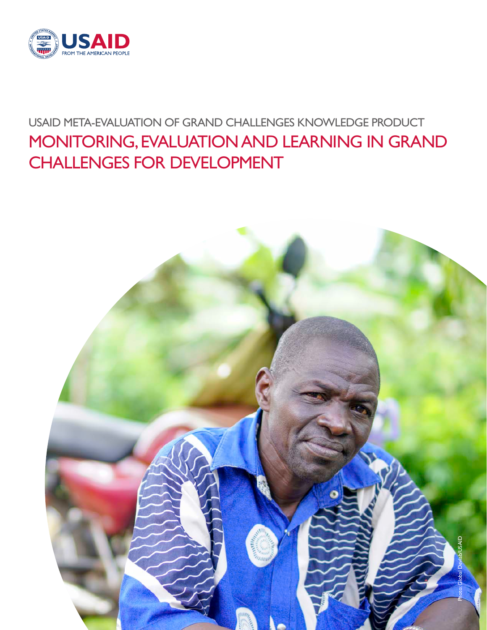

# USAID META-EVALUATION OF GRAND CHALLENGES KNOWLEDGE PRODUCT MONITORING, EVALUATION AND LEARNING IN GRAND CHALLENGES FOR DEVELOPMENT

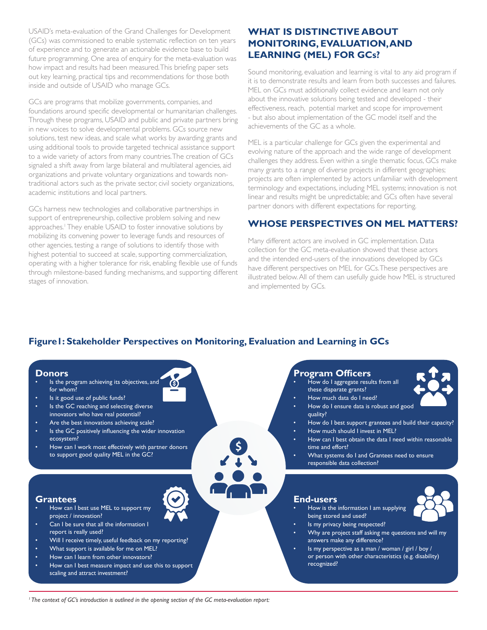USAID's meta-evaluation of the Grand Challenges for Development (GCs) was commissioned to enable systematic reflection on ten years of experience and to generate an actionable evidence base to build future programming. One area of enquiry for the meta-evaluation was how impact and results had been measured. This briefing paper sets out key learning, practical tips and recommendations for those both inside and outside of USAID who manage GCs.

GCs are programs that mobilize governments, companies, and foundations around specific developmental or humanitarian challenges. Through these programs, USAID and public and private partners bring in new voices to solve developmental problems. GCs source new solutions, test new ideas, and scale what works by awarding grants and using additional tools to provide targeted technical assistance support to a wide variety of actors from many countries. The creation of GCs signaled a shift away from large bilateral and multilateral agencies, aid organizations and private voluntary organizations and towards nontraditional actors such as the private sector, civil society organizations, academic institutions and local partners.

GCs harness new technologies and collaborative partnerships in support of entrepreneurship, collective problem solving and new approaches.<sup>1</sup> They enable USAID to foster innovative solutions by mobilizing its convening power to leverage funds and resources of other agencies, testing a range of solutions to identify those with highest potential to succeed at scale, supporting commercialization, operating with a higher tolerance for risk, enabling flexible use of funds through milestone-based funding mechanisms, and supporting different stages of innovation.

## **WHAT IS DISTINCTIVE ABOUT MONITORING, EVALUATION, AND LEARNING (MEL) FOR GCs?**

Sound monitoring, evaluation and learning is vital to any aid program if it is to demonstrate results and learn from both successes and failures. MEL on GCs must additionally collect evidence and learn not only about the innovative solutions being tested and developed - their effectiveness, reach, potential market and scope for improvement - but also about implementation of the GC model itself and the achievements of the GC as a whole.

MEL is a particular challenge for GCs given the experimental and evolving nature of the approach and the wide range of development challenges they address. Even within a single thematic focus, GCs make many grants to a range of diverse projects in different geographies; projects are often implemented by actors unfamiliar with development terminology and expectations, including MEL systems; innovation is not linear and results might be unpredictable; and GCs often have several partner donors with different expectations for reporting.

## **WHOSE PERSPECTIVES ON MEL MATTERS?**

Many different actors are involved in GC implementation. Data collection for the GC meta-evaluation showed that these actors and the intended end-users of the innovations developed by GCs have different perspectives on MEL for GCs. These perspectives are illustrated below. All of them can usefully guide how MEL is structured and implemented by GCs.

## **Figure1: Stakeholder Perspectives on Monitoring, Evaluation and Learning in GCs**

(S)



- Is the program achieving its objectives, and for whom?
- Is it good use of public funds?
- Is the GC reaching and selecting diverse innovators who have real potential?
- Are the best innovations achieving scale?
- Is the GC positively influencing the wider innovation ecosystem?
- How can I work most effectively with partner donors to support good quality MEL in the GC?

#### **Grantees**

- How can I best use MEL to support my project / innovation?
- Can I be sure that all the information I report is really used?
- Will I receive timely, useful feedback on my reporting?
- What support is available for me on MEL?
- How can I learn from other innovators?
- How can I best measure impact and use this to support scaling and attract investment?

#### **Program Officers**

- How do I aggregate results from all these disparate grants?
- How much data do I need?
- How do I ensure data is robust and good quality?
- How do I best support grantees and build their capacity?
- How much should I invest in MEL?
- How can I best obtain the data I need within reasonable time and effort?
- What systems do I and Grantees need to ensure responsible data collection?

#### **End-users**

• How is the information I am supplying being stored and used?



- Is my privacy being respected?
- Why are project staff asking me questions and will my answers make any difference?
- Is my perspective as a man / woman / girl / boy / or person with other characteristics (e.g. disability) recognized?

*1 The context of GC's introduction is outlined in the opening section of the GC meta-evaluation report:*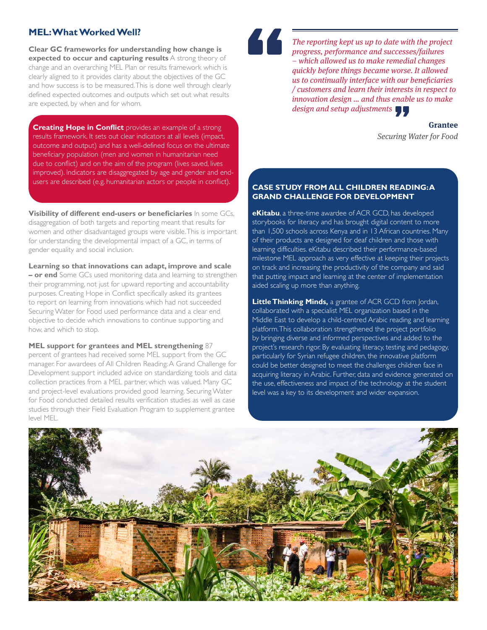### **MEL: What Worked Well?**

**Clear GC frameworks for understanding how change is expected to occur and capturing results** A strong theory of change and an overarching MEL Plan or results framework which is clearly aligned to it provides clarity about the objectives of the GC and how success is to be measured. This is done well through clearly defined expected outcomes and outputs which set out what results are expected, by when and for whom.

**Creating Hope in Conflict** provides an example of a strong results framework. It sets out clear indicators at all levels (impact, outcome and output) and has a well-defined focus on the ultimate beneficiary population (men and women in humanitarian need due to conflict) and on the aim of the program (lives saved, lives improved). Indicators are disaggregated by age and gender and endusers are described (e.g. humanitarian actors or people in conflict). **CASE STUDY FROM ALL CHILDREN READING: A** 

**Visibility of different end-users or beneficiaries** In some GCs, disaggregation of both targets and reporting meant that results for women and other disadvantaged groups were visible. This is important for understanding the developmental impact of a GC, in terms of gender equality and social inclusion.

**Learning so that innovations can adapt, improve and scale – or end** Some GCs used monitoring data and learning to strengthen their programming, not just for upward reporting and accountability purposes. Creating Hope in Conflict specifically asked its grantees to report on learning from innovations which had not succeeded Securing Water for Food used performance data and a clear end objective to decide which innovations to continue supporting and how, and which to stop.

**MEL support for grantees and MEL strengthening** 87 percent of grantees had received some MEL support from the GC manager. For awardees of All Children Reading: A Grand Challenge for Development support included advice on standardizing tools and data collection practices from a MEL partner, which was valued. Many GC and project-level evaluations provided good learning. Securing Water for Food conducted detailed results verification studies as well as case studies through their Field Evaluation Program to supplement grantee level MEL.



The reporting kept us up to date with the project progress, performance and successes/failures – which allowed us to make remedial changes quickly before things became worse. It allowed us to continually interface with our beneficiaries / customers and learn their interests in respect to innovation design … and thus enable us to make design and setup adjustments

> **Grantee** Securing Water for Food

## **GRAND CHALLENGE FOR DEVELOPMENT**

**eKitabu**, a three-time awardee of ACR GCD, has developed storybooks for literacy and has brought digital content to more than 1,500 schools across Kenya and in 13 African countries. Many of their products are designed for deaf children and those with learning difficulties. eKitabu described their performance-based milestone MEL approach as very effective at keeping their projects on track and increasing the productivity of the company and said that putting impact and learning at the center of implementation aided scaling up more than anything.

**Little Thinking Minds,** a grantee of ACR GCD from Jordan, collaborated with a specialist MEL organization based in the Middle East to develop a child-centred Arabic reading and learning platform. This collaboration strengthened the project portfolio by bringing diverse and informed perspectives and added to the project's research rigor. By evaluating literacy, testing and pedagogy, particularly for Syrian refugee children, the innovative platform could be better designed to meet the challenges children face in acquiring literacy in Arabic. Further, data and evidence generated on the use, effectiveness and impact of the technology at the student level was a key to its development and wider expansion.